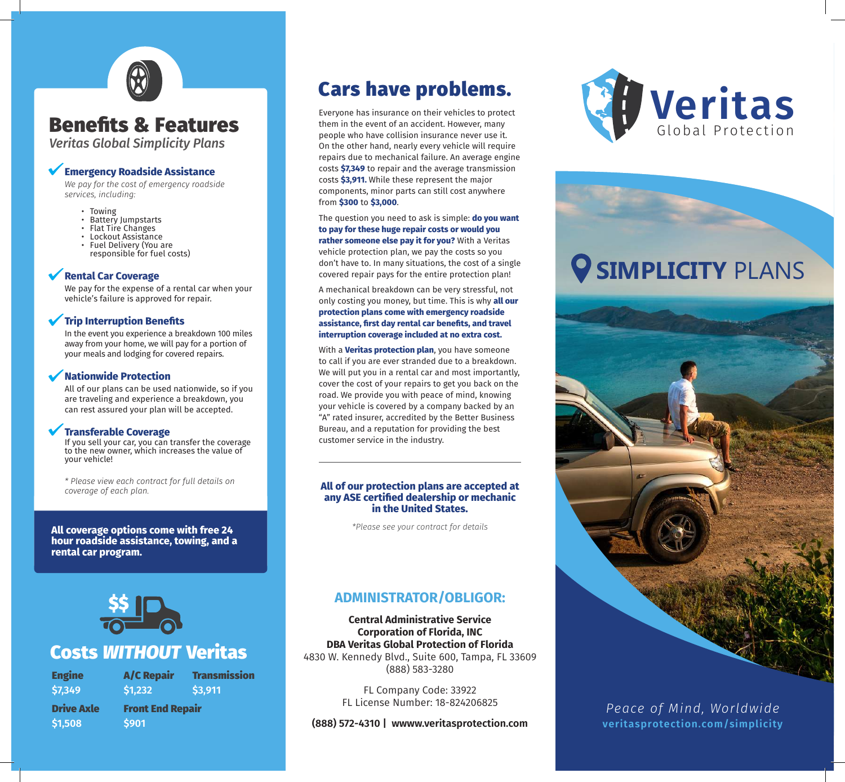## Benefits & Features

*Veritas Global Simplicity Plans*

## **Emergency Roadside Assistance**

*We pay for the cost of emergency roadside services, including:*

- Towing
- Battery Jumpstarts
- Flat Tire Changes
- Lockout Assistance
- Fuel Delivery (You are responsible for fuel costs)

## **Rental Car Coverage**

We pay for the expense of a rental car when your vehicle's failure is approved for repair.

## **Trip Interruption Benefits**

In the event you experience a breakdown 100 miles away from your home, we will pay for a portion of your meals and lodging for covered repairs.

## **Nationwide Protection**

All of our plans can be used nationwide, so if you are traveling and experience a breakdown, you can rest assured your plan will be accepted.

## **Transferable Coverage**

If you sell your car, you can transfer the coverage to the new owner, which increases the value of your vehicle!

*\* Please view each contract for full details on coverage of each plan.*

**All coverage options come with free 24 hour roadside assistance, towing, and a rental car program.**



## Costs *WITHOUT* Veritas

| <b>Engine</b><br>\$7,349 | <b>A/C Repair</b><br>\$1,232 | Tr<br>\$3 |
|--------------------------|------------------------------|-----------|
| <b>Drive Axle</b>        | <b>Front End Repair</b>      |           |
| \$1,508                  | \$901                        |           |

## **Transmission \$3,911**

## Cars have problems. Everyone has insurance on their vehicles to protect

them in the event of an accident. However, many people who have collision insurance never use it. On the other hand, nearly every vehicle will require repairs due to mechanical failure. An average engine costs **\$7,349** to repair and the average transmission costs **\$3,911.** While these represent the major components, minor parts can still cost anywhere from **\$300** to **\$3,000**.

INSIDE PANEL FRONT COVERED AT A 1990 FOR THE RESIDENCE OF A 1990 FOR THE RESIDENCE OF A 1990 FOR THE RESIDENCE

The question you need to ask is simple: **do you want to pay for these huge repair costs or would you rather someone else pay it for you?** With a Veritas vehicle protection plan, we pay the costs so you don't have to. In many situations, the cost of a single covered repair pays for the entire protection plan!

A mechanical breakdown can be very stressful, not only costing you money, but time. This is why **all our protection plans come with emergency roadside assistance, first day rental car benefits, and travel interruption coverage included at no extra cost.**

With a **Veritas protection plan**, you have someone to call if you are ever stranded due to a breakdown. We will put you in a rental car and most importantly. cover the cost of your repairs to get you back on the road. We provide you with peace of mind, knowing your vehicle is covered by a company backed by an "A" rated insurer, accredited by the Better Business Bureau, and a reputation for providing the best customer service in the industry.

### **All of our protection plans are accepted at any ASE certified dealership or mechanic in the United States.**

*\*Please see your contract for details*

## **ADMINISTRATOR/OBLIGOR:**

**Central Administrative Service Corporation of Florida, INC DBA Veritas Global Protection of Florida** 4830 W. Kennedy Blvd., Suite 600, Tampa, FL 33609 (888) 583-3280

> FL Company Code: 33922 FL License Number: 18-824206825

**(888) 572-4310 | wwww.veritasprotection.com**



# **V SIMPLICITY PLANS**



*Peace of Mind, Worldwide* **veritasprotection.com/simplicity**